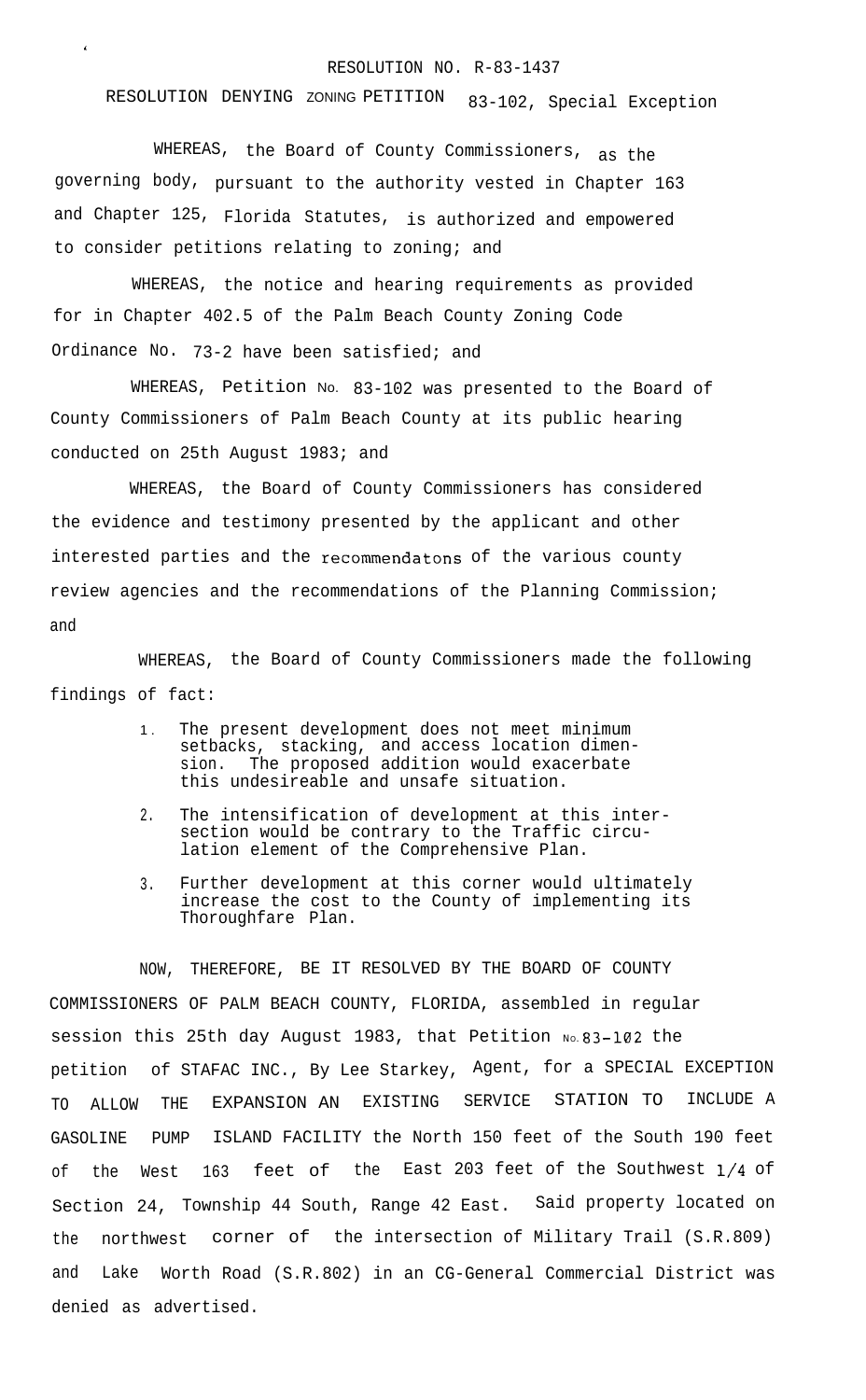## RESOLUTION NO. R-83-1437

RESOLUTION DENYING ZONING PETITION 83-102, Special Exception

WHEREAS, the Board of County Commissioners, as the governing body, pursuant to the authority vested in Chapter 163 and Chapter 125, Florida Statutes, is authorized and empowered to consider petitions relating to zoning; and

\*

WHEREAS, the notice and hearing requirements as provided for in Chapter 402.5 of the Palm Beach County Zoning Code Ordinance No. 73-2 have been satisfied; and

WHEREAS, Petition No. 83-102 was presented to the Board of County Commissioners of Palm Beach County at its public hearing conducted on 25th August 1983; and

WHEREAS, the Board of County Commissioners has considered the evidence and testimony presented by the applicant and other interested parties and the recommendatons of the various county review agencies and the recommendations of the Planning Commission; and

WHEREAS, the Board of County Commissioners made the following findings of fact:

- 1 . The present development does not meet minimum setbacks, stacking, and access location dimension. The proposed addition would exacerbate this undesireable and unsafe situation.
- 2. The intensification of development at this intersection would be contrary to the Traffic circulation element of the Comprehensive Plan.
- 3. Further development at this corner would ultimately increase the cost to the County of implementing its Thoroughfare Plan.

NOW, THEREFORE, BE IT RESOLVED BY THE BOARD OF COUNTY COMMISSIONERS OF PALM BEACH COUNTY, FLORIDA, assembled in regular session this 25th day August 1983, that Petition No. 83-102 the petition of STAFAC INC., By Lee Starkey, Agent, for a SPECIAL EXCEPTION TO ALLOW THE EXPANSION AN EXISTING SERVICE STATION TO INCLUDE A GASOLINE PUMP ISLAND FACILITY the North 150 feet of the South 190 feet of the West 163 feet of the East 203 feet of the Southwest l/4 of Section 24, Township 44 South, Range 42 East. Said property located on the northwest corner of the intersection of Military Trail (S.R.809) and Lake Worth Road (S.R.802) in an CG-General Commercial District was denied as advertised.